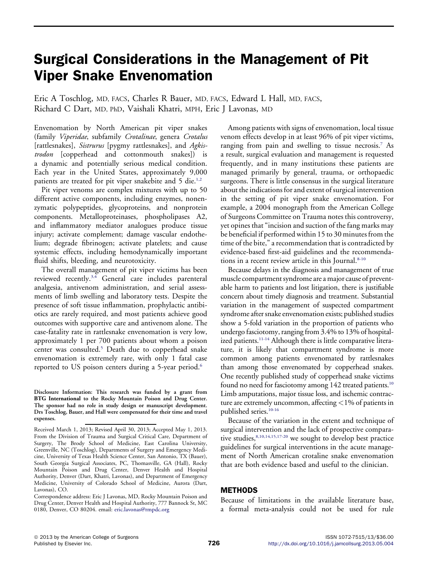# Surgical Considerations in the Management of Pit Viper Snake Envenomation

Eric A Toschlog, MD, FACS, Charles R Bauer, MD, FACS, Edward L Hall, MD, FACS, Richard C Dart, MD, PhD, Vaishali Khatri, MPH, Eric J Lavonas, MD

Envenomation by North American pit viper snakes (family Viperidae, subfamily Crotalinae, genera Crotalus [rattlesnakes], Sistrurus [pygmy rattlesnakes], and Agkistrodon [copperhead and cottonmouth snakes]) is a dynamic and potentially serious medical condition. Each year in the United States, approximately 9,000 patients are treated for pit viper snakebite and 5 die.<sup>[1,2](#page-7-0)</sup>

Pit viper venoms are complex mixtures with up to 50 different active components, including enzymes, nonenzymatic polypeptides, glycoproteins, and nonprotein components. Metalloproteinases, phospholipases A2, and inflammatory mediator analogues produce tissue injury; activate complement; damage vascular endothelium; degrade fibrinogen; activate platelets; and cause systemic effects, including hemodynamically important fluid shifts, bleeding, and neurotoxicity.

The overall management of pit viper victims has been reviewed recently.<sup>3,4</sup> General care includes parenteral analgesia, antivenom administration, and serial assessments of limb swelling and laboratory tests. Despite the presence of soft tissue inflammation, prophylactic antibiotics are rarely required, and most patients achieve good outcomes with supportive care and antivenom alone. The case-fatality rate in rattlesnake envenomation is very low, approximately 1 per 700 patients about whom a poison center was consulted.<sup>5</sup> Death due to copperhead snake envenomation is extremely rare, with only 1 fatal case reported to US poison centers during a 5-year period.<sup>6</sup>

Disclosure Information: This research was funded by a grant from BTG International to the Rocky Mountain Poison and Drug Center. The sponsor had no role in study design or manuscript development. Drs Toschlog, Bauer, and Hall were compensated for their time and travel expenses.

Among patients with signs of envenomation, local tissue venom effects develop in at least 96% of pit viper victims, ranging from pain and swelling to tissue necrosis.<sup>7</sup> As a result, surgical evaluation and management is requested frequently, and in many institutions these patients are managed primarily by general, trauma, or orthopaedic surgeons. There is little consensus in the surgical literature about the indications for and extent of surgical intervention in the setting of pit viper snake envenomation. For example, a 2004 monograph from the American College of Surgeons Committee on Trauma notes this controversy, yet opines that "incision and suction of the fang marks may be beneficial if performed within 15 to 30 minutes from the time of the bite," a recommendation that is contradicted by evidence-based first-aid guidelines and the recommenda-tions in a recent review article in this Journal.<sup>[8-10](#page-8-0)</sup>

Because delays in the diagnosis and management of true muscle compartment syndrome are a major cause of preventable harm to patients and lost litigation, there is justifiable concern about timely diagnosis and treatment. Substantial variation in the management of suspected compartment syndrome after snake envenomation exists; published studies show a 5-fold variation in the proportion of patients who undergo fasciotomy, ranging from 3.4% to 13% of hospitalized patients.<sup>11-14</sup> Although there is little comparative literature, it is likely that compartment syndrome is more common among patients envenomated by rattlesnakes than among those envenomated by copperhead snakes. One recently published study of copperhead snake victims found no need for fasciotomy among 142 treated patients.<sup>[10](#page-8-0)</sup> Limb amputations, major tissue loss, and ischemic contracture are extremely uncommon, affecting <1% of patients in published series.<sup>10-16</sup>

Because of the variation in the extent and technique of surgical intervention and the lack of prospective comparative studies, 8,10,14,15,17-20 we sought to develop best practice guidelines for surgical interventions in the acute management of North American crotaline snake envenomation that are both evidence based and useful to the clinician.

# METHODS

Because of limitations in the available literature base, a formal meta-analysis could not be used for rule

Received March 1, 2013; Revised April 30, 2013; Accepted May 1, 2013. From the Division of Trauma and Surgical Critical Care, Department of Surgery, The Brody School of Medicine, East Carolina University, Greenville, NC (Toschlog), Departments of Surgery and Emergency Medicine, University of Texas Health Science Center, San Antonio, TX (Bauer), South Georgia Surgical Associates, PC, Thomasville, GA (Hall), Rocky Mountain Poison and Drug Center, Denver Health and Hospital Authority, Denver (Dart, Khatri, Lavonas), and Department of Emergency Medicine, University of Colorado School of Medicine, Aurora (Dart, Lavonas), CO.

Correspondence address: Eric J Lavonas, MD, Rocky Mountain Poison and Drug Center, Denver Health and Hospital Authority, 777 Bannock St, MC 0180, Denver, CO 80204. email: [eric.lavonas@rmpdc.org](mailto:eric.lavonas@rmpdc.org)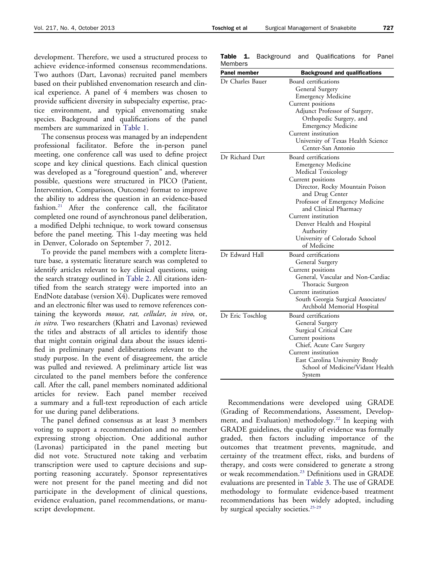development. Therefore, we used a structured process to achieve evidence-informed consensus recommendations. Two authors (Dart, Lavonas) recruited panel members based on their published envenomation research and clinical experience. A panel of 4 members was chosen to provide sufficient diversity in subspecialty expertise, practice environment, and typical envenomating snake species. Background and qualifications of the panel members are summarized in Table 1.

The consensus process was managed by an independent professional facilitator. Before the in-person panel meeting, one conference call was used to define project scope and key clinical questions. Each clinical question was developed as a "foreground question" and, wherever possible, questions were structured in PICO (Patient, Intervention, Comparison, Outcome) format to improve the ability to address the question in an evidence-based fashion.[21](#page-8-0) After the conference call, the facilitator completed one round of asynchronous panel deliberation, a modified Delphi technique, to work toward consensus before the panel meeting. This 1-day meeting was held in Denver, Colorado on September 7, 2012.

To provide the panel members with a complete literature base, a systematic literature search was completed to identify articles relevant to key clinical questions, using the search strategy outlined in [Table 2](#page-2-0). All citations identified from the search strategy were imported into an EndNote database (version X4). Duplicates were removed and an electronic filter was used to remove references containing the keywords mouse, rat, cellular, in vivo, or, in vitro. Two researchers (Khatri and Lavonas) reviewed the titles and abstracts of all articles to identify those that might contain original data about the issues identified in preliminary panel deliberations relevant to the study purpose. In the event of disagreement, the article was pulled and reviewed. A preliminary article list was circulated to the panel members before the conference call. After the call, panel members nominated additional articles for review. Each panel member received a summary and a full-text reproduction of each article for use during panel deliberations.

The panel defined consensus as at least 3 members voting to support a recommendation and no member expressing strong objection. One additional author (Lavonas) participated in the panel meeting but did not vote. Structured note taking and verbatim transcription were used to capture decisions and supporting reasoning accurately. Sponsor representatives were not present for the panel meeting and did not participate in the development of clinical questions, evidence evaluation, panel recommendations, or manuscript development.

Table 1. Background and Qualifications for Panel Members

| <b>Panel member</b> | <b>Background and qualifications</b> |
|---------------------|--------------------------------------|
| Dr Charles Bauer    | Board certifications                 |
|                     | General Surgery                      |
|                     | <b>Emergency Medicine</b>            |
|                     | Current positions                    |
|                     | Adjunct Professor of Surgery,        |
|                     | Orthopedic Surgery, and              |
|                     | <b>Emergency Medicine</b>            |
|                     | Current institution                  |
|                     | University of Texas Health Science   |
|                     | Center-San Antonio                   |
| Dr Richard Dart     | Board certifications                 |
|                     | <b>Emergency Medicine</b>            |
|                     | Medical Toxicology                   |
|                     | Current positions                    |
|                     | Director, Rocky Mountain Poison      |
|                     | and Drug Center                      |
|                     | Professor of Emergency Medicine      |
|                     | and Clinical Pharmacy                |
|                     | Current institution                  |
|                     | Denver Health and Hospital           |
|                     | Authority                            |
|                     | University of Colorado School        |
|                     | of Medicine                          |
| Dr Edward Hall      | Board certifications                 |
|                     | General Surgery                      |
|                     | Current positions                    |
|                     | General, Vascular and Non-Cardiac    |
|                     | Thoracic Surgeon                     |
|                     | Current institution                  |
|                     | South Georgia Surgical Associates/   |
|                     | Archbold Memorial Hospital           |
| Dr Eric Toschlog    | Board certifications                 |
|                     | General Surgery                      |
|                     | Surgical Critical Care               |
|                     | Current positions                    |
|                     | Chief, Acute Care Surgery            |
|                     | Current institution                  |
|                     | East Carolina University Brody       |
|                     | School of Medicine/Vidant Health     |
|                     | System                               |

Recommendations were developed using GRADE (Grading of Recommendations, Assessment, Develop-ment, and Evaluation) methodology.<sup>[22](#page-8-0)</sup> In keeping with GRADE guidelines, the quality of evidence was formally graded, then factors including importance of the outcomes that treatment prevents, magnitude, and certainty of the treatment effect, risks, and burdens of therapy, and costs were considered to generate a strong or weak recommendation.<sup>[23](#page-8-0)</sup> Definitions used in GRADE evaluations are presented in [Table 3](#page-2-0). The use of GRADE methodology to formulate evidence-based treatment recommendations has been widely adopted, including by surgical specialty societies.<sup>[25-29](#page-8-0)</sup>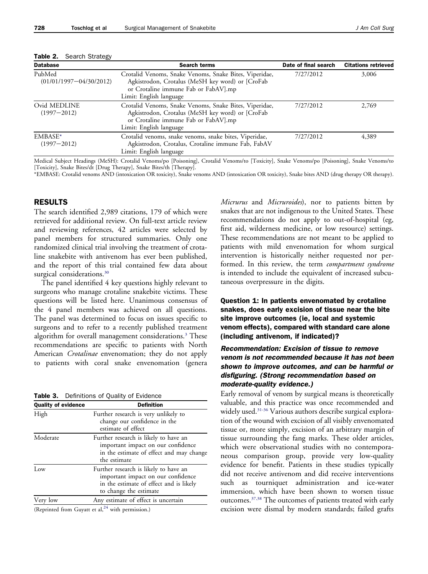| <b>Database</b>                       | <b>Search terms</b>                                                                                                                                                                                                                                                                                                                                                                                                                                                                                                                                                                                                                                                                                                                    | Date of final search | <b>Citations retrieved</b> |
|---------------------------------------|----------------------------------------------------------------------------------------------------------------------------------------------------------------------------------------------------------------------------------------------------------------------------------------------------------------------------------------------------------------------------------------------------------------------------------------------------------------------------------------------------------------------------------------------------------------------------------------------------------------------------------------------------------------------------------------------------------------------------------------|----------------------|----------------------------|
| PubMed<br>$(01/01/1997 - 04/30/2012)$ | Crotalid Venoms, Snake Venoms, Snake Bites, Viperidae,<br>Agkistrodon, Crotalus (MeSH key word) or [CroFab<br>or Crotaline immune Fab or FabAV.mp<br>Limit: English language                                                                                                                                                                                                                                                                                                                                                                                                                                                                                                                                                           | 7/27/2012            | 3,006                      |
| Ovid MEDLINE<br>$(1997 - 2012)$       | Crotalid Venoms, Snake Venoms, Snake Bites, Viperidae,<br>Agkistrodon, Crotalus (MeSH key word) or [CroFab<br>or Crotaline immune Fab or FabAV.mp<br>Limit: English language                                                                                                                                                                                                                                                                                                                                                                                                                                                                                                                                                           | 7/27/2012            | 2,769                      |
| EMBASE*<br>$(1997 - 2012)$            | Crotalid venoms, snake venoms, snake bites, Viperidae,<br>Agkistrodon, Crotalus, Crotaline immune Fab, FabAV<br>Limit: English language                                                                                                                                                                                                                                                                                                                                                                                                                                                                                                                                                                                                | 7/27/2012            | 4,389                      |
|                                       | $\mathbf{u}$ , $\mathbf{v}$ , $\mathbf{v}$ , $\mathbf{v}$ , $\mathbf{v}$ , $\mathbf{v}$ , $\mathbf{v}$ , $\mathbf{v}$ , $\mathbf{v}$ , $\mathbf{v}$ , $\mathbf{v}$ , $\mathbf{v}$ , $\mathbf{v}$ , $\mathbf{v}$ , $\mathbf{v}$ , $\mathbf{v}$ , $\mathbf{v}$ , $\mathbf{v}$ , $\mathbf{v}$ , $\mathbf{v}$ , $\mathbf{v}$ , $\mathbf{v}$ ,<br>.<br>$\overline{1}$ $\overline{1}$ $\overline{1}$ $\overline{1}$ $\overline{1}$ $\overline{1}$ $\overline{1}$ $\overline{1}$ $\overline{1}$ $\overline{1}$ $\overline{1}$ $\overline{1}$ $\overline{1}$ $\overline{1}$ $\overline{1}$ $\overline{1}$ $\overline{1}$ $\overline{1}$ $\overline{1}$ $\overline{1}$ $\overline{1}$ $\overline{1}$ $\overline{1}$ $\overline{1}$ $\overline{$ |                      |                            |

<span id="page-2-0"></span>

|  | Table 2. |  |  | Search Strategy |
|--|----------|--|--|-----------------|
|--|----------|--|--|-----------------|

Medical Subject Headings (MeSH): Crotalid Venoms/po [Poisoning], Crotalid Venoms/to [Toxicity], Snake Venoms/po [Poisoning], Snake Venoms/to [Toxicity], Snake Bites/dt [Drug Therapy], Snake Bites/th [Therapy].

\*EMBASE: Crotalid venoms AND (intoxication OR toxicity), Snake venoms AND (intoxication OR toxicity), Snake bites AND (drug therapy OR therapy).

## RESULTS

The search identified 2,989 citations, 179 of which were retrieved for additional review. On full-text article review and reviewing references, 42 articles were selected by panel members for structured summaries. Only one randomized clinical trial involving the treatment of crotaline snakebite with antivenom has ever been published, and the report of this trial contained few data about surgical considerations.<sup>30</sup>

The panel identified 4 key questions highly relevant to surgeons who manage crotaline snakebite victims. These questions will be listed here. Unanimous consensus of the 4 panel members was achieved on all questions. The panel was determined to focus on issues specific to surgeons and to refer to a recently published treatment algorithm for overall management considerations.<sup>[3](#page-7-0)</sup> These recommendations are specific to patients with North American *Crotalinae* envenomation; they do not apply to patients with coral snake envenomation (genera

Table 3. Definitions of Quality of Evidence

| <b>Quality of evidence</b> | <b>Definition</b>                                                                                                                                |  |  |
|----------------------------|--------------------------------------------------------------------------------------------------------------------------------------------------|--|--|
| High                       | Further research is very unlikely to<br>change our confidence in the<br>estimate of effect                                                       |  |  |
| Moderate                   | Further research is likely to have an<br>important impact on our confidence<br>in the estimate of effect and may change<br>the estimate          |  |  |
| $_{\text{low}}$            | Further research is likely to have an<br>important impact on our confidence<br>in the estimate of effect and is likely<br>to change the estimate |  |  |
| Very low                   | Any estimate of effect is uncertain                                                                                                              |  |  |

(Reprinted from Guyatt et al, $^{24}$  with permission.)

Micrurus and Micruroides), nor to patients bitten by snakes that are not indigenous to the United States. These recommendations do not apply to out-of-hospital (eg, first aid, wilderness medicine, or low resource) settings. These recommendations are not meant to be applied to patients with mild envenomation for whom surgical intervention is historically neither requested nor performed. In this review, the term compartment syndrome is intended to include the equivalent of increased subcutaneous overpressure in the digits.

Question 1: In patients envenomated by crotaline snakes, does early excision of tissue near the bite site improve outcomes (ie, local and systemic venom effects), compared with standard care alone (including antivenom, if indicated)?

# Recommendation: Excision of tissue to remove venom is not recommended because it has not been shown to improve outcomes, and can be harmful or disfiguring. (Strong recommendation based on moderate-quality evidence.)

Early removal of venom by surgical means is theoretically valuable, and this practice was once recommended and widely used.<sup>31-36</sup> Various authors describe surgical exploration of the wound with excision of all visibly envenomated tissue or, more simply, excision of an arbitrary margin of tissue surrounding the fang marks. These older articles, which were observational studies with no contemporaneous comparison group, provide very low-quality evidence for benefit. Patients in these studies typically did not receive antivenom and did receive interventions such as tourniquet administration and ice-water immersion, which have been shown to worsen tissue outcomes[.37,38](#page-8-0) The outcomes of patients treated with early excision were dismal by modern standards; failed grafts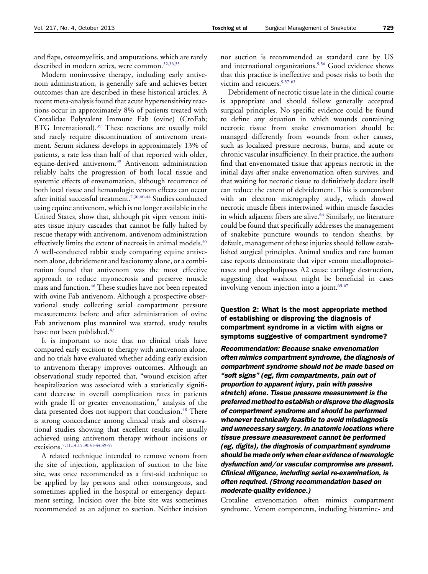and flaps, osteomyelitis, and amputations, which are rarely described in modern series, were common.<sup>[32,33,35](#page-8-0)</sup>

Modern noninvasive therapy, including early antivenom administration, is generally safe and achieves better outcomes than are described in these historical articles. A recent meta-analysis found that acute hypersensitivity reactions occur in approximately 8% of patients treated with Crotalidae Polyvalent Immune Fab (ovine) (CroFab; BTG International).<sup>39</sup> These reactions are usually mild and rarely require discontinuation of antivenom treatment. Serum sickness develops in approximately 13% of patients, a rate less than half of that reported with older, equine-derived antivenom.[39](#page-8-0) Antivenom administration reliably halts the progression of both local tissue and systemic effects of envenomation, although recurrence of both local tissue and hematologic venom effects can occur after initial successful treatment[.7,30,40-44](#page-7-0) Studies conducted using equine antivenom, which is no longer available in the United States, show that, although pit viper venom initiates tissue injury cascades that cannot be fully halted by rescue therapy with antivenom, antivenom administration effectively limits the extent of necrosis in animal models.<sup>[45](#page-8-0)</sup> A well-conducted rabbit study comparing equine antivenom alone, debridement and fasciotomy alone, or a combination found that antivenom was the most effective approach to reduce myonecrosis and preserve muscle mass and function.<sup>46</sup> These studies have not been repeated with ovine Fab antivenom. Although a prospective observational study collecting serial compartment pressure measurements before and after administration of ovine Fab antivenom plus mannitol was started, study results have not been published.<sup>[47](#page-9-0)</sup>

It is important to note that no clinical trials have compared early excision to therapy with antivenom alone, and no trials have evaluated whether adding early excision to antivenom therapy improves outcomes. Although an observational study reported that, "wound excision after hospitalization was associated with a statistically significant decrease in overall complication rates in patients with grade II or greater envenomation," analysis of the data presented does not support that conclusion.<sup>[48](#page-9-0)</sup> There is strong concordance among clinical trials and observational studies showing that excellent results are usually achieved using antivenom therapy without incisions or excisions.[7,11,14,15,30,41-44,49-55](#page-7-0)

A related technique intended to remove venom from the site of injection, application of suction to the bite site, was once recommended as a first-aid technique to be applied by lay persons and other nonsurgeons, and sometimes applied in the hospital or emergency department setting. Incision over the bite site was sometimes recommended as an adjunct to suction. Neither incision

nor suction is recommended as standard care by US and international organizations.<sup>[9,56](#page-8-0)</sup> Good evidence shows that this practice is ineffective and poses risks to both the victim and rescuers.<sup>9,57-63</sup>

Debridement of necrotic tissue late in the clinical course is appropriate and should follow generally accepted surgical principles. No specific evidence could be found to define any situation in which wounds containing necrotic tissue from snake envenomation should be managed differently from wounds from other causes, such as localized pressure necrosis, burns, and acute or chronic vascular insufficiency. In their practice, the authors find that envenomated tissue that appears necrotic in the initial days after snake envenomation often survives, and that waiting for necrotic tissue to definitively declare itself can reduce the extent of debridement. This is concordant with an electron micrography study, which showed necrotic muscle fibers intertwined within muscle fascicles in which adjacent fibers are alive.<sup>64</sup> Similarly, no literature could be found that specifically addresses the management of snakebite puncture wounds to tendon sheaths; by default, management of these injuries should follow established surgical principles. Animal studies and rare human case reports demonstrate that viper venom metalloproteinases and phospholipases A2 cause cartilage destruction, suggesting that washout might be beneficial in cases involving venom injection into a joint.<sup>[65-67](#page-9-0)</sup>

Question 2: What is the most appropriate method of establishing or disproving the diagnosis of compartment syndrome in a victim with signs or symptoms suggestive of compartment syndrome?

Recommendation: Because snake envenomation often mimics compartment syndrome, the diagnosis of compartment syndrome should not be made based on "soft signs" (eg, firm compartments, pain out of proportion to apparent injury, pain with passive stretch) alone. Tissue pressure measurement is the preferred method to establish or disprove the diagnosis of compartment syndrome and should be performed whenever technically feasible to avoid misdiagnosis and unnecessary surgery. In anatomic locations where tissue pressure measurement cannot be performed (eg, digits), the diagnosis of compartment syndrome should be made only when clear evidence of neurologic dysfunction and/or vascular compromise are present. Clinical diligence, including serial re-examination, is often required. (Strong recommendation based on moderate-quality evidence.)

Crotaline envenomation often mimics compartment syndrome. Venom components, including histamine- and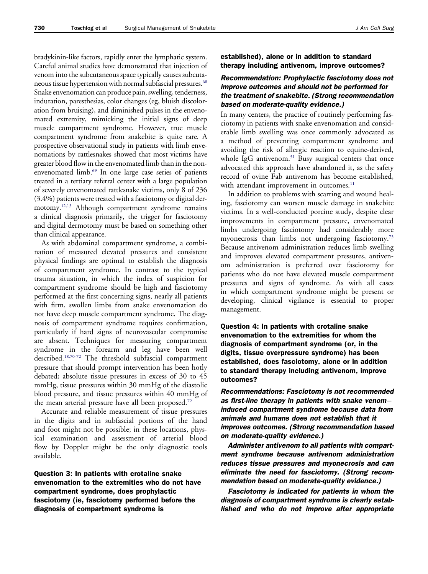bradykinin-like factors, rapidly enter the lymphatic system. Careful animal studies have demonstrated that injection of venom into the subcutaneous space typically causes subcuta-neous tissue hypertension with normal subfascial pressures.<sup>[68](#page-9-0)</sup> Snake envenomation can produce pain, swelling, tenderness, induration, paresthesias, color changes (eg, bluish discoloration from bruising), and diminished pulses in the envenomated extremity, mimicking the initial signs of deep muscle compartment syndrome. However, true muscle compartment syndrome from snakebite is quite rare. A prospective observational study in patients with limb envenomations by rattlesnakes showed that most victims have greater blood flow in the envenomated limb than in the nonenvenomated limb.<sup>69</sup> In one large case series of patients treated in a tertiary referral center with a large population of severely envenomated rattlesnake victims, only 8 of 236 (3.4%) patients were treated with a fasciotomy or digital dermotomy[.12,13](#page-8-0) Although compartment syndrome remains a clinical diagnosis primarily, the trigger for fasciotomy and digital dermotomy must be based on something other than clinical appearance.

As with abdominal compartment syndrome, a combination of measured elevated pressures and consistent physical findings are optimal to establish the diagnosis of compartment syndrome. In contrast to the typical trauma situation, in which the index of suspicion for compartment syndrome should be high and fasciotomy performed at the first concerning signs, nearly all patients with firm, swollen limbs from snake envenomation do not have deep muscle compartment syndrome. The diagnosis of compartment syndrome requires confirmation, particularly if hard signs of neurovascular compromise are absent. Techniques for measuring compartment syndrome in the forearm and leg have been well described[.18,70-72](#page-8-0) The threshold subfascial compartment pressure that should prompt intervention has been hotly debated; absolute tissue pressures in excess of 30 to 45 mmHg, tissue pressures within 30 mmHg of the diastolic blood pressure, and tissue pressures within 40 mmHg of the mean arterial pressure have all been proposed.<sup>72</sup>

Accurate and reliable measurement of tissue pressures in the digits and in subfascial portions of the hand and foot might not be possible; in these locations, physical examination and assessment of arterial blood flow by Doppler might be the only diagnostic tools available.

Question 3: In patients with crotaline snake envenomation to the extremities who do not have compartment syndrome, does prophylactic fasciotomy (ie, fasciotomy performed before the diagnosis of compartment syndrome is

established), alone or in addition to standard therapy including antivenom, improve outcomes?

# Recommendation: Prophylactic fasciotomy does not improve outcomes and should not be performed for the treatment of snakebite. (Strong recommendation based on moderate-quality evidence.)

In many centers, the practice of routinely performing fasciotomy in patients with snake envenomation and considerable limb swelling was once commonly advocated as a method of preventing compartment syndrome and avoiding the risk of allergic reaction to equine-derived, whole IgG antivenom.<sup>[51](#page-9-0)</sup> Busy surgical centers that once advocated this approach have abandoned it, as the safety record of ovine Fab antivenom has become established, with attendant improvement in outcomes.<sup>11</sup>

In addition to problems with scarring and wound healing, fasciotomy can worsen muscle damage in snakebite victims. In a well-conducted porcine study, despite clear improvements in compartment pressure, envenomated limbs undergoing fasciotomy had considerably more myonecrosis than limbs not undergoing fasciotomy.<sup>[73](#page-9-0)</sup> Because antivenom administration reduces limb swelling and improves elevated compartment pressures, antivenom administration is preferred over fasciotomy for patients who do not have elevated muscle compartment pressures and signs of syndrome. As with all cases in which compartment syndrome might be present or developing, clinical vigilance is essential to proper management.

Question 4: In patients with crotaline snake envenomation to the extremities for whom the diagnosis of compartment syndrome (or, in the digits, tissue overpressure syndrome) has been established, does fasciotomy, alone or in addition to standard therapy including antivenom, improve outcomes?

Recommendations: Fasciotomy is not recommended as first-line therapy in patients with snake venom induced compartment syndrome because data from animals and humans does not establish that it improves outcomes. (Strong recommendation based on moderate-quality evidence.)

Administer antivenom to all patients with compartment syndrome because antivenom administration reduces tissue pressures and myonecrosis and can eliminate the need for fasciotomy. (Strong recommendation based on moderate-quality evidence.)

Fasciotomy is indicated for patients in whom the diagnosis of compartment syndrome is clearly established and who do not improve after appropriate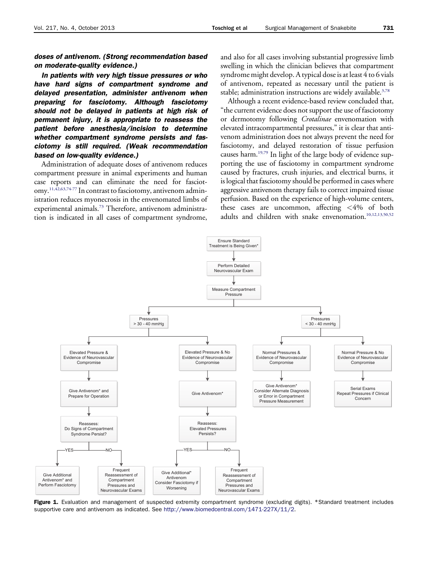<span id="page-5-0"></span>doses of antivenom. (Strong recommendation based on moderate-quality evidence.)

In patients with very high tissue pressures or who have hard signs of compartment syndrome and delayed presentation, administer antivenom when preparing for fasciotomy. Although fasciotomy should not be delayed in patients at high risk of permanent injury, it is appropriate to reassess the patient before anesthesia/incision to determine whether compartment syndrome persists and fasciotomy is still required. (Weak recommendation based on low-quality evidence.)

Administration of adequate doses of antivenom reduces compartment pressure in animal experiments and human case reports and can eliminate the need for fasciotomy[.11,42,63,74-77](#page-8-0) In contrast to fasciotomy, antivenom administration reduces myonecrosis in the envenomated limbs of experimental animals[.73](#page-9-0) Therefore, antivenom administration is indicated in all cases of compartment syndrome,

> Pressures > 30 - 40 mmHg

Give Antivenom\* Give Antivenom\* and Prepare for Operation

Elevated Pressure & Evidence of Neurovascula Compromise

Reassess: Do Signs of Compartment Syndrome Persist?

and also for all cases involving substantial progressive limb swelling in which the clinician believes that compartment syndrome might develop. A typical dose is at least 4 to 6 vials of antivenom, repeated as necessary until the patient is stable; administration instructions are widely available.<sup>[3,78](#page-7-0)</sup>

Although a recent evidence-based review concluded that, "the current evidence does not support the use of fasciotomy or dermotomy following Crotalinae envenomation with elevated intracompartmental pressures," it is clear that antivenom administration does not always prevent the need for fasciotomy, and delayed restoration of tissue perfusion causes harm[.19,79](#page-8-0) In light of the large body of evidence supporting the use of fasciotomy in compartment syndrome caused by fractures, crush injuries, and electrical burns, it is logical that fasciotomy should be performed in cases where aggressive antivenom therapy fails to correct impaired tissue perfusion. Based on the experience of high-volume centers, these cases are uncommon, affecting <4% of both adults and children with snake envenomation.<sup>10,12,13,50,52</sup>

> Pressures < 30 - 40 mmHg

> > Normal Pressure & No Evidence of Neurovascular Compromise

Serial Exams Repeat Pressures if Clinical Concern

Normal Pressures & Evidence of Neurovascula Compromise

Give Antivenom\* Consider Alternate Diagnosis or Error in Compartment Pressure Measurement



Reassess: Elevated Pressures Persists?

Elevated Pressure & No Evidence of Neurovascular Compromise

Figure 1. Evaluation and management of suspected extremity compartment syndrome (excluding digits). \*Standard treatment includes supportive care and antivenom as indicated. See <http://www.biomedcentral.com/1471-227X/11/2>.

Ensure Standard Treatment is Being Given\*

Perform Detailed Neurovascular Exam

Measure Compartment **Pressure**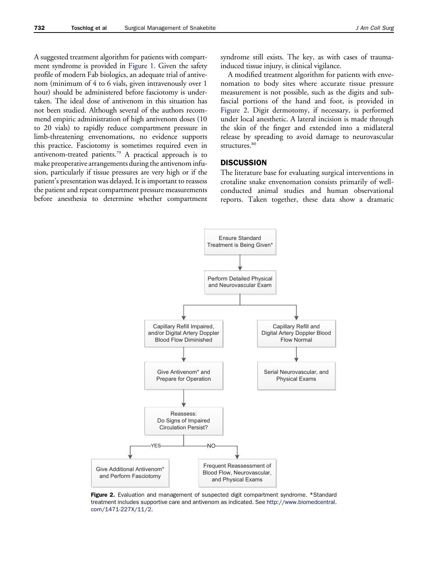A suggested treatment algorithm for patients with compartment syndrome is provided in [Figure 1](#page-5-0). Given the safety profile of modern Fab biologics, an adequate trial of antivenom (minimum of 4 to 6 vials, given intravenously over 1 hour) should be administered before fasciotomy is undertaken. The ideal dose of antivenom in this situation has not been studied. Although several of the authors recommend empiric administration of high antivenom doses (10 to 20 vials) to rapidly reduce compartment pressure in limb-threatening envenomations, no evidence supports this practice. Fasciotomy is sometimes required even in antivenom-treated patients.[79](#page-9-0) A practical approach is to make preoperative arrangements during the antivenom infusion, particularly if tissue pressures are very high or if the patient's presentation was delayed. It is important to reassess the patient and repeat compartment pressure measurements before anesthesia to determine whether compartment syndrome still exists. The key, as with cases of traumainduced tissue injury, is clinical vigilance.

A modified treatment algorithm for patients with envenomation to body sites where accurate tissue pressure measurement is not possible, such as the digits and subfascial portions of the hand and foot, is provided in Figure 2. Digit dermotomy, if necessary, is performed under local anesthetic. A lateral incision is made through the skin of the finger and extended into a midlateral release by spreading to avoid damage to neurovascular structures.<sup>[80](#page-9-0)</sup>

#### **DISCUSSION**

The literature base for evaluating surgical interventions in crotaline snake envenomation consists primarily of wellconducted animal studies and human observational reports. Taken together, these data show a dramatic



Figure 2. Evaluation and management of suspected digit compartment syndrome. \*Standard treatment includes supportive care and antivenom as indicated. See [http://www.biomedcentral.](http://www.biomedcentral.com/1471-227X/11/2) [com/1471-227X/11/2.](http://www.biomedcentral.com/1471-227X/11/2)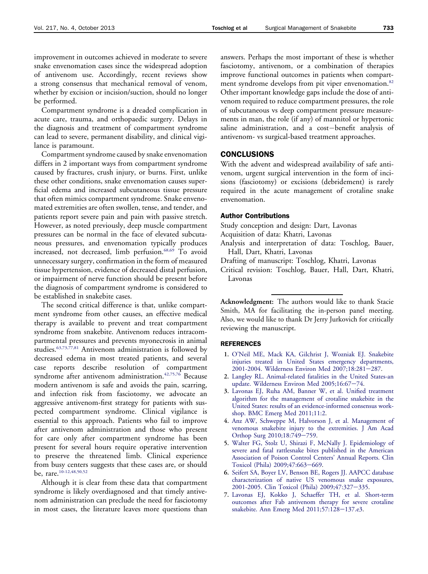<span id="page-7-0"></span>improvement in outcomes achieved in moderate to severe snake envenomation cases since the widespread adoption of antivenom use. Accordingly, recent reviews show a strong consensus that mechanical removal of venom, whether by excision or incision/suction, should no longer be performed.

Compartment syndrome is a dreaded complication in acute care, trauma, and orthopaedic surgery. Delays in the diagnosis and treatment of compartment syndrome can lead to severe, permanent disability, and clinical vigilance is paramount.

Compartment syndrome caused by snake envenomation differs in 2 important ways from compartment syndrome caused by fractures, crush injury, or burns. First, unlike these other conditions, snake envenomation causes superficial edema and increased subcutaneous tissue pressure that often mimics compartment syndrome. Snake envenomated extremities are often swollen, tense, and tender, and patients report severe pain and pain with passive stretch. However, as noted previously, deep muscle compartment pressures can be normal in the face of elevated subcutaneous pressures, and envenomation typically produces increased, not decreased, limb perfusion[.68,69](#page-9-0) To avoid unnecessary surgery, confirmation in the form of measured tissue hypertension, evidence of decreased distal perfusion, or impairment of nerve function should be present before the diagnosis of compartment syndrome is considered to be established in snakebite cases.

The second critical difference is that, unlike compartment syndrome from other causes, an effective medical therapy is available to prevent and treat compartment syndrome from snakebite. Antivenom reduces intracompartmental pressures and prevents myonecrosis in animal studies.<sup>[63,73,77,81](#page-9-0)</sup> Antivenom administration is followed by decreased edema in most treated patients, and several case reports describe resolution of compartment syndrome after antivenom administration.<sup>[42,75,76](#page-8-0)</sup> Because modern antivenom is safe and avoids the pain, scarring, and infection risk from fasciotomy, we advocate an aggressive antivenom-first strategy for patients with suspected compartment syndrome. Clinical vigilance is essential to this approach. Patients who fail to improve after antivenom administration and those who present for care only after compartment syndrome has been present for several hours require operative intervention to preserve the threatened limb. Clinical experience from busy centers suggests that these cases are, or should be, rare.<sup>10-12,48,50,52</sup>

Although it is clear from these data that compartment syndrome is likely overdiagnosed and that timely antivenom administration can preclude the need for fasciotomy in most cases, the literature leaves more questions than

answers. Perhaps the most important of these is whether fasciotomy, antivenom, or a combination of therapies improve functional outcomes in patients when compart-ment syndrome develops from pit viper envenomation.<sup>[82](#page-9-0)</sup> Other important knowledge gaps include the dose of antivenom required to reduce compartment pressures, the role of subcutaneous vs deep compartment pressure measurements in man, the role (if any) of mannitol or hypertonic saline administration, and a cost-benefit analysis of antivenom- vs surgical-based treatment approaches.

## **CONCLUSIONS**

With the advent and widespread availability of safe antivenom, urgent surgical intervention in the form of incisions (fasciotomy) or excisions (debridement) is rarely required in the acute management of crotaline snake envenomation.

## Author Contributions

Study conception and design: Dart, Lavonas

- Acquisition of data: Khatri, Lavonas
- Analysis and interpretation of data: Toschlog, Bauer, Hall, Dart, Khatri, Lavonas
- Drafting of manuscript: Toschlog, Khatri, Lavonas
- Critical revision: Toschlog, Bauer, Hall, Dart, Khatri, Lavonas

Acknowledgment: The authors would like to thank Stacie Smith, MA for facilitating the in-person panel meeting. Also, we would like to thank Dr Jerry Jurkovich for critically reviewing the manuscript.

#### **REFERENCES**

- 1. [O'Neil ME, Mack KA, Gilchrist J, Wozniak EJ. Snakebite](http://refhub.elsevier.com/S1072-7515(13)00362-1/sref1) [injuries treated in United States emergency departments,](http://refhub.elsevier.com/S1072-7515(13)00362-1/sref1) [2001-2004. Wilderness Environ Med 2007;18:281](http://refhub.elsevier.com/S1072-7515(13)00362-1/sref1)-[287.](http://refhub.elsevier.com/S1072-7515(13)00362-1/sref1)
- 2. [Langley RL. Animal-related fatalities in the United States-an](http://refhub.elsevier.com/S1072-7515(13)00362-1/sref2) [update. Wilderness Environ Med 2005;16:67](http://refhub.elsevier.com/S1072-7515(13)00362-1/sref2)-[74.](http://refhub.elsevier.com/S1072-7515(13)00362-1/sref2)
- 3. [Lavonas EJ, Ruha AM, Banner W, et al. Unified treatment](http://refhub.elsevier.com/S1072-7515(13)00362-1/sref3) [algorithm for the management of crotaline snakebite in the](http://refhub.elsevier.com/S1072-7515(13)00362-1/sref3) [United States: results of an evidence-informed consensus work](http://refhub.elsevier.com/S1072-7515(13)00362-1/sref3)[shop. BMC Emerg Med 2011;11:2.](http://refhub.elsevier.com/S1072-7515(13)00362-1/sref3)
- 4. [Anz AW, Schweppe M, Halvorson J, et al. Management of](http://refhub.elsevier.com/S1072-7515(13)00362-1/sref4) [venomous snakebite injury to the extremities. J Am Acad](http://refhub.elsevier.com/S1072-7515(13)00362-1/sref4) [Orthop Surg 2010;18:749](http://refhub.elsevier.com/S1072-7515(13)00362-1/sref4)-[759.](http://refhub.elsevier.com/S1072-7515(13)00362-1/sref4)
- 5. [Walter FG, Stolz U, Shirazi F, McNally J. Epidemiology of](http://refhub.elsevier.com/S1072-7515(13)00362-1/sref5) [severe and fatal rattlesnake bites published in the American](http://refhub.elsevier.com/S1072-7515(13)00362-1/sref5) [Association of Poison Control Centers' Annual Reports. Clin](http://refhub.elsevier.com/S1072-7515(13)00362-1/sref5) [Toxicol \(Phila\) 2009;47:663](http://refhub.elsevier.com/S1072-7515(13)00362-1/sref5)-[669](http://refhub.elsevier.com/S1072-7515(13)00362-1/sref5).
- 6. [Seifert SA, Boyer LV, Benson BE, Rogers JJ. AAPCC database](http://refhub.elsevier.com/S1072-7515(13)00362-1/sref6) [characterization of native US venomous snake exposures,](http://refhub.elsevier.com/S1072-7515(13)00362-1/sref6) [2001-2005. Clin Toxicol \(Phila\) 2009;47:327](http://refhub.elsevier.com/S1072-7515(13)00362-1/sref6)-[335.](http://refhub.elsevier.com/S1072-7515(13)00362-1/sref6)
- 7. [Lavonas EJ, Kokko J, Schaeffer TH, et al. Short-term](http://refhub.elsevier.com/S1072-7515(13)00362-1/sref7) [outcomes after Fab antivenom therapy for severe crotaline](http://refhub.elsevier.com/S1072-7515(13)00362-1/sref7) [snakebite. Ann Emerg Med 2011;57:128](http://refhub.elsevier.com/S1072-7515(13)00362-1/sref7)-[137.e3](http://refhub.elsevier.com/S1072-7515(13)00362-1/sref7).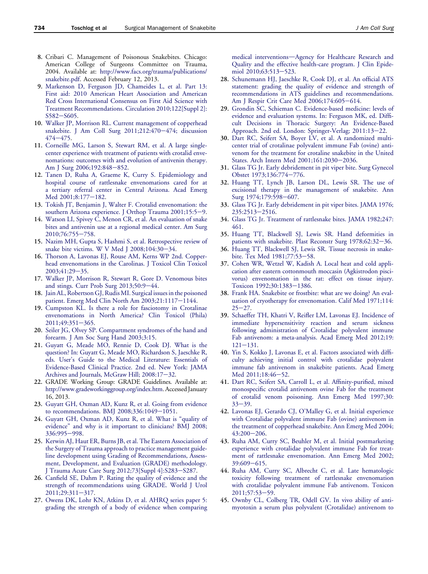- <span id="page-8-0"></span>8. Cribari C. Management of Poisonous Snakebites. Chicago: American College of Surgeons Committee on Trauma, 2004. Available at: [http://www.facs.org/trauma/publications/](http://www.facs.org/trauma/publications/snakebite.pdf) [snakebite.pdf](http://www.facs.org/trauma/publications/snakebite.pdf). Accessed February 12, 2013.
- 9. [Markenson D, Ferguson JD, Chameides L, et al. Part 13:](http://refhub.elsevier.com/S1072-7515(13)00362-1/sref8) [First aid: 2010 American Heart Association and American](http://refhub.elsevier.com/S1072-7515(13)00362-1/sref8) [Red Cross International Consensus on First Aid Science with](http://refhub.elsevier.com/S1072-7515(13)00362-1/sref8) [Treatment Recommendations. Circulation 2010;122\[Suppl 2\]:](http://refhub.elsevier.com/S1072-7515(13)00362-1/sref8) [S582](http://refhub.elsevier.com/S1072-7515(13)00362-1/sref8)-[S605.](http://refhub.elsevier.com/S1072-7515(13)00362-1/sref8)
- 10. [Walker JP, Morrison RL. Current management of copperhead](http://refhub.elsevier.com/S1072-7515(13)00362-1/sref9) snakebite. J Am Coll Surg  $2011;212:470-474$ ; discussion [474](http://refhub.elsevier.com/S1072-7515(13)00362-1/sref9)-[475.](http://refhub.elsevier.com/S1072-7515(13)00362-1/sref9)
- 11. [Corneille MG, Larson S, Stewart RM, et al. A large single](http://refhub.elsevier.com/S1072-7515(13)00362-1/sref10)[center experience with treatment of patients with crotalid enve](http://refhub.elsevier.com/S1072-7515(13)00362-1/sref10)[nomations: outcomes with and evolution of antivenin therapy.](http://refhub.elsevier.com/S1072-7515(13)00362-1/sref10) [Am J Surg 2006;192:848](http://refhub.elsevier.com/S1072-7515(13)00362-1/sref10)-[852](http://refhub.elsevier.com/S1072-7515(13)00362-1/sref10).
- 12. [Tanen D, Ruha A, Graeme K, Curry S. Epidemiology and](http://refhub.elsevier.com/S1072-7515(13)00362-1/sref11) [hospital course of rattlesnake envenomations cared for at](http://refhub.elsevier.com/S1072-7515(13)00362-1/sref11) [a tertiary referral center in Central Arizona. Acad Emerg](http://refhub.elsevier.com/S1072-7515(13)00362-1/sref11) [Med 2001;8:177](http://refhub.elsevier.com/S1072-7515(13)00362-1/sref11)-[182](http://refhub.elsevier.com/S1072-7515(13)00362-1/sref11).
- 13. [Tokish JT, Benjamin J, Walter F. Crotalid envenomation: the](http://refhub.elsevier.com/S1072-7515(13)00362-1/sref12) [southern Arizona experience. J Orthop Trauma 2001;15:5](http://refhub.elsevier.com/S1072-7515(13)00362-1/sref12)-[9.](http://refhub.elsevier.com/S1072-7515(13)00362-1/sref12)
- 14. [Watson LI, Spivey C, Menon CR, et al. An evaluation of snake](http://refhub.elsevier.com/S1072-7515(13)00362-1/sref13) [bites and antivenin use at a regional medical center. Am Surg](http://refhub.elsevier.com/S1072-7515(13)00362-1/sref13) [2010;76:755](http://refhub.elsevier.com/S1072-7515(13)00362-1/sref13)-[758](http://refhub.elsevier.com/S1072-7515(13)00362-1/sref13).
- 15. [Nazim MH, Gupta S, Hashmi S, et al. Retrospective review of](http://refhub.elsevier.com/S1072-7515(13)00362-1/sref14) snake bite victims. W V Med J  $2008;104:30-34$ .
- 16. [Thorson A, Lavonas EJ, Rouse AM, Kerns WP 2nd. Copper](http://refhub.elsevier.com/S1072-7515(13)00362-1/sref15)[head envenomations in the Carolinas. J Toxicol Clin Toxicol](http://refhub.elsevier.com/S1072-7515(13)00362-1/sref15) [2003;41:29](http://refhub.elsevier.com/S1072-7515(13)00362-1/sref15)-[35](http://refhub.elsevier.com/S1072-7515(13)00362-1/sref15).
- 17. [Walker JP, Morrison R, Stewart R, Gore D. Venomous bites](http://refhub.elsevier.com/S1072-7515(13)00362-1/sref16) and stings. Curr Prob Surg  $2013;50:9-44$ .
- 18. [Jain AL, Robertson GJ, Rudis MI. Surgical issues in the poisoned](http://refhub.elsevier.com/S1072-7515(13)00362-1/sref17) [patient. Emerg Med Clin North Am 2003;21:1117](http://refhub.elsevier.com/S1072-7515(13)00362-1/sref17)-[1144](http://refhub.elsevier.com/S1072-7515(13)00362-1/sref17).
- 19. [Cumpston KL. Is there a role for fasciotomy in Crotalinae](http://refhub.elsevier.com/S1072-7515(13)00362-1/sref18) [envenomations in North America? Clin Toxicol \(Phila\)](http://refhub.elsevier.com/S1072-7515(13)00362-1/sref18) [2011;49:351](http://refhub.elsevier.com/S1072-7515(13)00362-1/sref18)-[365](http://refhub.elsevier.com/S1072-7515(13)00362-1/sref18).
- 20. [Seiler JG, Olvey SP. Compartment syndromes of the hand and](http://refhub.elsevier.com/S1072-7515(13)00362-1/sref19) [forearm. J Am Soc Surg Hand 2003;3:15.](http://refhub.elsevier.com/S1072-7515(13)00362-1/sref19)
- 21. [Guyatt G, Meade MO, Rennie D, Cook DJ. What is the](http://refhub.elsevier.com/S1072-7515(13)00362-1/sref20) [question? In: Guyatt G, Meade MO, Richardson S, Jaeschke R,](http://refhub.elsevier.com/S1072-7515(13)00362-1/sref20) [eds. User's Guide to the Medical Literature: Essentials of](http://refhub.elsevier.com/S1072-7515(13)00362-1/sref20) [Evidence-Based Clinical Practice. 2nd ed. New York: JAMA](http://refhub.elsevier.com/S1072-7515(13)00362-1/sref20) [Archives and Journals, McGraw Hill; 2008:17](http://refhub.elsevier.com/S1072-7515(13)00362-1/sref20)-[32.](http://refhub.elsevier.com/S1072-7515(13)00362-1/sref20)
- 22. GRADE Working Group: GRADE Guidelines. Available at: <http://www.gradeworkinggroup.org/index.htm>. Accessed January 16, 2013.
- 23. [Guyatt GH, Oxman AD, Kunz R, et al. Going from evidence](http://refhub.elsevier.com/S1072-7515(13)00362-1/sref21) [to recommendations. BMJ 2008;336:1049](http://refhub.elsevier.com/S1072-7515(13)00362-1/sref21)-[1051.](http://refhub.elsevier.com/S1072-7515(13)00362-1/sref21)
- 24. Guyatt [GH, Oxman AD, Kunz R, et al. What is "quality of](http://refhub.elsevier.com/S1072-7515(13)00362-1/sref22) [evidence" and why is it important to clinicians? BMJ 2008;](http://refhub.elsevier.com/S1072-7515(13)00362-1/sref22) [336:995](http://refhub.elsevier.com/S1072-7515(13)00362-1/sref22)-[998.](http://refhub.elsevier.com/S1072-7515(13)00362-1/sref22)
- 25. [Kerwin AJ, Haut ER, Burns JB, et al. The Eastern Association of](http://refhub.elsevier.com/S1072-7515(13)00362-1/sref23) [the Surgery of Trauma approach to practice management guide](http://refhub.elsevier.com/S1072-7515(13)00362-1/sref23)[line development using Grading of Recommendations, Assess](http://refhub.elsevier.com/S1072-7515(13)00362-1/sref23)[ment, Development, and Evaluation \(GRADE\) methodology.](http://refhub.elsevier.com/S1072-7515(13)00362-1/sref23) [J Trauma Acute Care Surg 2012;73\[Suppl 4\]:S283](http://refhub.elsevier.com/S1072-7515(13)00362-1/sref23)-[S287](http://refhub.elsevier.com/S1072-7515(13)00362-1/sref23).
- 26. [Canfield SE, Dahm P. Rating the quality of evidence and the](http://refhub.elsevier.com/S1072-7515(13)00362-1/sref24) [strength of recommendations using GRADE. World J Urol](http://refhub.elsevier.com/S1072-7515(13)00362-1/sref24) [2011;29:311](http://refhub.elsevier.com/S1072-7515(13)00362-1/sref24)-[317](http://refhub.elsevier.com/S1072-7515(13)00362-1/sref24).
- 27. [Owens DK, Lohr KN, Atkins D, et al. AHRQ series paper 5:](http://refhub.elsevier.com/S1072-7515(13)00362-1/sref25) [grading the strength of a body of evidence when comparing](http://refhub.elsevier.com/S1072-7515(13)00362-1/sref25)

[medical interventions](http://refhub.elsevier.com/S1072-7515(13)00362-1/sref25)-[Agency for Healthcare Research and](http://refhub.elsevier.com/S1072-7515(13)00362-1/sref25) [Quality and the effective health-care program. J Clin Epide](http://refhub.elsevier.com/S1072-7515(13)00362-1/sref25)[miol 2010;63:513](http://refhub.elsevier.com/S1072-7515(13)00362-1/sref25)–[523](http://refhub.elsevier.com/S1072-7515(13)00362-1/sref25).

- 28. [Schunemann HJ, Jaeschke R, Cook DJ, et al. An official ATS](http://refhub.elsevier.com/S1072-7515(13)00362-1/sref26) [statement: grading the quality of evidence and strength of](http://refhub.elsevier.com/S1072-7515(13)00362-1/sref26) [recommendations in ATS guidelines and recommendations.](http://refhub.elsevier.com/S1072-7515(13)00362-1/sref26) [Am J Respir Crit Care Med 2006;174:605](http://refhub.elsevier.com/S1072-7515(13)00362-1/sref26)-[614.](http://refhub.elsevier.com/S1072-7515(13)00362-1/sref26)
- 29. [Grondin SC, Schieman C. Evidence-based medicine: levels of](http://refhub.elsevier.com/S1072-7515(13)00362-1/sref27) [evidence and evaluation systems. In: Ferguson MK, ed. Diffi](http://refhub.elsevier.com/S1072-7515(13)00362-1/sref27)[cult Decisions in Thoracic Surgery: An Evidence-Based](http://refhub.elsevier.com/S1072-7515(13)00362-1/sref27) [Approach. 2nd ed. London: Springer-Verlag; 2011:13](http://refhub.elsevier.com/S1072-7515(13)00362-1/sref27)–[22](http://refhub.elsevier.com/S1072-7515(13)00362-1/sref27).
- 30. [Dart RC, Seifert SA, Boyer LV, et al. A randomized multi](http://refhub.elsevier.com/S1072-7515(13)00362-1/sref28)[center trial of crotalinae polyvalent immune Fab \(ovine\) anti](http://refhub.elsevier.com/S1072-7515(13)00362-1/sref28)[venom for the treatment for crotaline snakebite in the United](http://refhub.elsevier.com/S1072-7515(13)00362-1/sref28) [States. Arch Intern Med 2001;161:2030](http://refhub.elsevier.com/S1072-7515(13)00362-1/sref28)-[2036.](http://refhub.elsevier.com/S1072-7515(13)00362-1/sref28)
- 31. [Glass TG Jr. Early debridement in pit viper bite. Surg Gynecol](http://refhub.elsevier.com/S1072-7515(13)00362-1/sref29) [Obstet 1973;136:774](http://refhub.elsevier.com/S1072-7515(13)00362-1/sref29)–[776](http://refhub.elsevier.com/S1072-7515(13)00362-1/sref29).
- 32. [Huang TT, Lynch JB, Larson DL, Lewis SR. The use of](http://refhub.elsevier.com/S1072-7515(13)00362-1/sref30) [excisional therapy in the management of snakebite. Ann](http://refhub.elsevier.com/S1072-7515(13)00362-1/sref30) [Surg 1974;179:598](http://refhub.elsevier.com/S1072-7515(13)00362-1/sref30)-[607.](http://refhub.elsevier.com/S1072-7515(13)00362-1/sref30)
- 33. [Glass TG Jr. Early debridement in pit viper bites. JAMA 1976;](http://refhub.elsevier.com/S1072-7515(13)00362-1/sref31) [235:2513](http://refhub.elsevier.com/S1072-7515(13)00362-1/sref31)-[2516.](http://refhub.elsevier.com/S1072-7515(13)00362-1/sref31)
- 34. [Glass TG Jr. Treatment of rattlesnake bites. JAMA 1982;247:](http://refhub.elsevier.com/S1072-7515(13)00362-1/sref32) [461.](http://refhub.elsevier.com/S1072-7515(13)00362-1/sref32)
- 35. [Huang TT, Blackwell SJ, Lewis SR. Hand deformities in](http://refhub.elsevier.com/S1072-7515(13)00362-1/sref33) [patients with snakebite. Plast Reconstr Surg 1978;62:32](http://refhub.elsevier.com/S1072-7515(13)00362-1/sref33)-[36](http://refhub.elsevier.com/S1072-7515(13)00362-1/sref33).
- 36. [Huang TT, Blackwell SJ, Lewis SR. Tissue necrosis in snake](http://refhub.elsevier.com/S1072-7515(13)00362-1/sref34)[bite. Tex Med 1981;77:53](http://refhub.elsevier.com/S1072-7515(13)00362-1/sref34)-[58](http://refhub.elsevier.com/S1072-7515(13)00362-1/sref34).
- 37. [Cohen WR, Wetzel W, Kadish A. Local heat and cold appli](http://refhub.elsevier.com/S1072-7515(13)00362-1/sref35)[cation after eastern cottonmouth moccasin \(Agkistrodon pisci](http://refhub.elsevier.com/S1072-7515(13)00362-1/sref35)[vorus\) envenomation in the rat: effect on tissue injury.](http://refhub.elsevier.com/S1072-7515(13)00362-1/sref35) [Toxicon 1992;30:1383](http://refhub.elsevier.com/S1072-7515(13)00362-1/sref35)-[1386](http://refhub.elsevier.com/S1072-7515(13)00362-1/sref35).
- 38. [Frank HA. Snakebite or frostbite: what are we doing? An eval](http://refhub.elsevier.com/S1072-7515(13)00362-1/sref36)[uation of cryotherapy for envenomation. Calif Med 1971;114:](http://refhub.elsevier.com/S1072-7515(13)00362-1/sref36)  $25 - 27$  $25 - 27$ .
- 39. Schaeffer [TH, Khatri V, Reifler LM, Lavonas EJ. Incidence of](http://refhub.elsevier.com/S1072-7515(13)00362-1/sref37) [immediate hypersensitivity reaction and serum sickness](http://refhub.elsevier.com/S1072-7515(13)00362-1/sref37) [following administration of Crotalidae polyvalent immune](http://refhub.elsevier.com/S1072-7515(13)00362-1/sref37) [Fab antivenom: a meta-analysis. Acad Emerg Med 2012;19:](http://refhub.elsevier.com/S1072-7515(13)00362-1/sref37)  $121 - 131.$  $121 - 131.$  $121 - 131.$
- 40. [Yin S, Kokko J, Lavonas E, et al. Factors associated with diffi](http://refhub.elsevier.com/S1072-7515(13)00362-1/sref38)[culty achieving initial control with crotalidae polyvalent](http://refhub.elsevier.com/S1072-7515(13)00362-1/sref38) [immune fab antivenom in snakebite patients. Acad Emerg](http://refhub.elsevier.com/S1072-7515(13)00362-1/sref38) [Med 2011;18:46](http://refhub.elsevier.com/S1072-7515(13)00362-1/sref38)-[52.](http://refhub.elsevier.com/S1072-7515(13)00362-1/sref38)
- 41. [Dart RC, Seifert SA, Carroll L, et al. Affinity-purified, mixed](http://refhub.elsevier.com/S1072-7515(13)00362-1/sref39) [monospecific crotalid antivenom ovine Fab for the treatment](http://refhub.elsevier.com/S1072-7515(13)00362-1/sref39) [of crotalid venom poisoning. Ann Emerg Med 1997;30:](http://refhub.elsevier.com/S1072-7515(13)00362-1/sref39)  $33 - 39.$  $33 - 39.$  $33 - 39.$
- 42. [Lavonas EJ, Gerardo CJ, O'Malley G, et al. Initial experience](http://refhub.elsevier.com/S1072-7515(13)00362-1/sref40) [with Crotalidae polyvalent immune Fab \(ovine\) antivenom in](http://refhub.elsevier.com/S1072-7515(13)00362-1/sref40) [the treatment of copperhead snakebite. Ann Emerg Med 2004;](http://refhub.elsevier.com/S1072-7515(13)00362-1/sref40)  $43:200 - 206$  $43:200 - 206$  $43:200 - 206$ .
- 43. [Ruha AM, Curry SC, Beuhler M, et al. Initial postmarketing](http://refhub.elsevier.com/S1072-7515(13)00362-1/sref41) [experience with crotalidae polyvalent immune Fab for treat](http://refhub.elsevier.com/S1072-7515(13)00362-1/sref41)[ment of rattlesnake envenomation. Ann Emerg Med 2002;](http://refhub.elsevier.com/S1072-7515(13)00362-1/sref41)  $39:609 - 615.$  $39:609 - 615.$  $39:609 - 615.$  $39:609 - 615.$
- 44. [Ruha AM, Curry SC, Albrecht C, et al. Late hematologic](http://refhub.elsevier.com/S1072-7515(13)00362-1/sref42) [toxicity following treatment of rattlesnake envenomation](http://refhub.elsevier.com/S1072-7515(13)00362-1/sref42) [with crotalidae polyvalent immune Fab antivenom. Toxicon](http://refhub.elsevier.com/S1072-7515(13)00362-1/sref42) [2011;57:53](http://refhub.elsevier.com/S1072-7515(13)00362-1/sref42)-[59](http://refhub.elsevier.com/S1072-7515(13)00362-1/sref42).
- 45. [Ownby CL, Colberg TR, Odell GV. In vivo ability of anti](http://refhub.elsevier.com/S1072-7515(13)00362-1/sref43)[myotoxin a serum plus polyvalent \(Crotalidae\) antivenom to](http://refhub.elsevier.com/S1072-7515(13)00362-1/sref43)